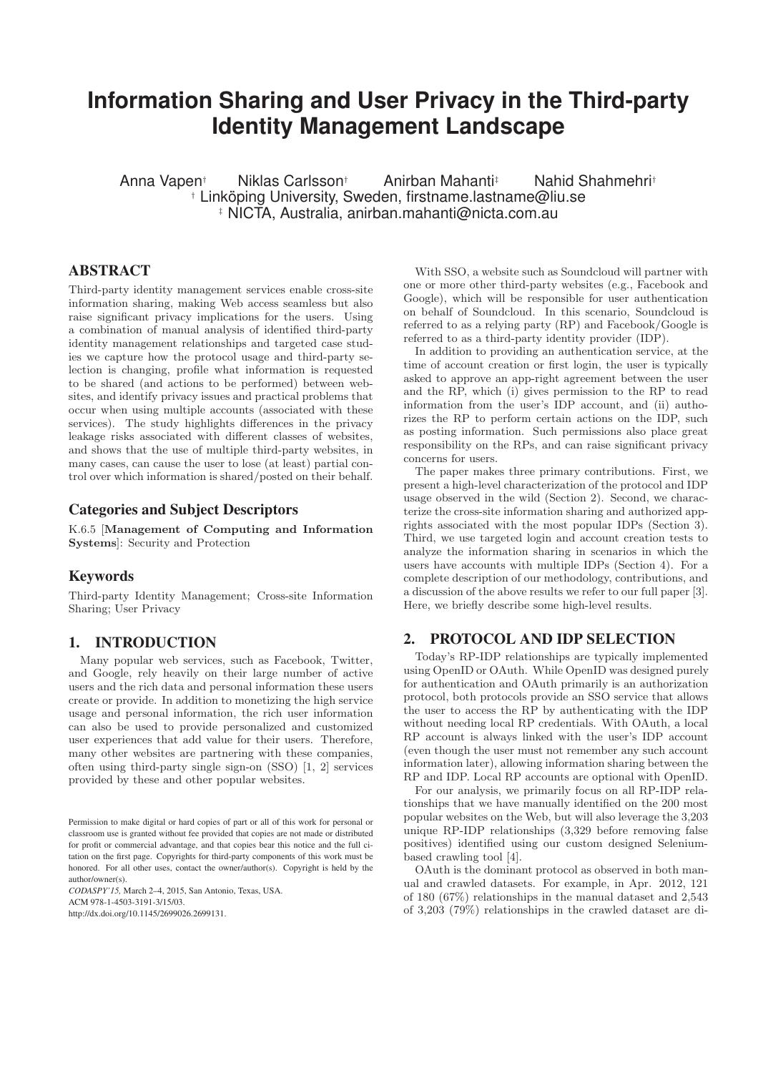# **Information Sharing and User Privacy in the Third-party Identity Management Landscape**

Anna Vapen† Niklas Carlsson† Anirban Mahanti‡ Nahid Shahmehri† † Linköping University, Sweden, firstname.lastname@liu.se ‡ NICTA, Australia, anirban.mahanti@nicta.com.au

## **ABSTRACT**

Third-party identity management services enable cross-site information sharing, making Web access seamless but also raise significant privacy implications for the users. Using a combination of manual analysis of identified third-party identity management relationships and targeted case studies we capture how the protocol usage and third-party selection is changing, profile what information is requested to be shared (and actions to be performed) between websites, and identify privacy issues and practical problems that occur when using multiple accounts (associated with these services). The study highlights differences in the privacy leakage risks associated with different classes of websites, and shows that the use of multiple third-party websites, in many cases, can cause the user to lose (at least) partial control over which information is shared/posted on their behalf.

### **Categories and Subject Descriptors**

K.6.5 [Management of Computing and Information Systems]: Security and Protection

#### **Keywords**

Third-party Identity Management; Cross-site Information Sharing; User Privacy

#### **1. INTRODUCTION**

Many popular web services, such as Facebook, Twitter, and Google, rely heavily on their large number of active users and the rich data and personal information these users create or provide. In addition to monetizing the high service usage and personal information, the rich user information can also be used to provide personalized and customized user experiences that add value for their users. Therefore, many other websites are partnering with these companies, often using third-party single sign-on (SSO) [1, 2] services provided by these and other popular websites.

*CODASPY'15,* March 2–4, 2015, San Antonio, Texas, USA.

ACM 978-1-4503-3191-3/15/03.

http://dx.doi.org/10.1145/2699026.2699131.

With SSO, a website such as Soundcloud will partner with one or more other third-party websites (e.g., Facebook and Google), which will be responsible for user authentication on behalf of Soundcloud. In this scenario, Soundcloud is referred to as a relying party (RP) and Facebook/Google is referred to as a third-party identity provider (IDP).

In addition to providing an authentication service, at the time of account creation or first login, the user is typically asked to approve an app-right agreement between the user and the RP, which (i) gives permission to the RP to read information from the user's IDP account, and (ii) authorizes the RP to perform certain actions on the IDP, such as posting information. Such permissions also place great responsibility on the RPs, and can raise significant privacy concerns for users.

The paper makes three primary contributions. First, we present a high-level characterization of the protocol and IDP usage observed in the wild (Section 2). Second, we characterize the cross-site information sharing and authorized apprights associated with the most popular IDPs (Section 3). Third, we use targeted login and account creation tests to analyze the information sharing in scenarios in which the users have accounts with multiple IDPs (Section 4). For a complete description of our methodology, contributions, and a discussion of the above results we refer to our full paper [3]. Here, we briefly describe some high-level results.

### **2. PROTOCOL AND IDP SELECTION**

Today's RP-IDP relationships are typically implemented using OpenID or OAuth. While OpenID was designed purely for authentication and OAuth primarily is an authorization protocol, both protocols provide an SSO service that allows the user to access the RP by authenticating with the IDP without needing local RP credentials. With OAuth, a local RP account is always linked with the user's IDP account (even though the user must not remember any such account information later), allowing information sharing between the RP and IDP. Local RP accounts are optional with OpenID.

For our analysis, we primarily focus on all RP-IDP relationships that we have manually identified on the 200 most popular websites on the Web, but will also leverage the 3,203 unique RP-IDP relationships (3,329 before removing false positives) identified using our custom designed Seleniumbased crawling tool [4].

OAuth is the dominant protocol as observed in both manual and crawled datasets. For example, in Apr. 2012, 121 of 180 (67%) relationships in the manual dataset and 2,543 of 3,203 (79%) relationships in the crawled dataset are di-

Permission to make digital or hard copies of part or all of this work for personal or classroom use is granted without fee provided that copies are not made or distributed for profit or commercial advantage, and that copies bear this notice and the full citation on the first page. Copyrights for third-party components of this work must be honored. For all other uses, contact the owner/author(s). Copyright is held by the author/owner(s).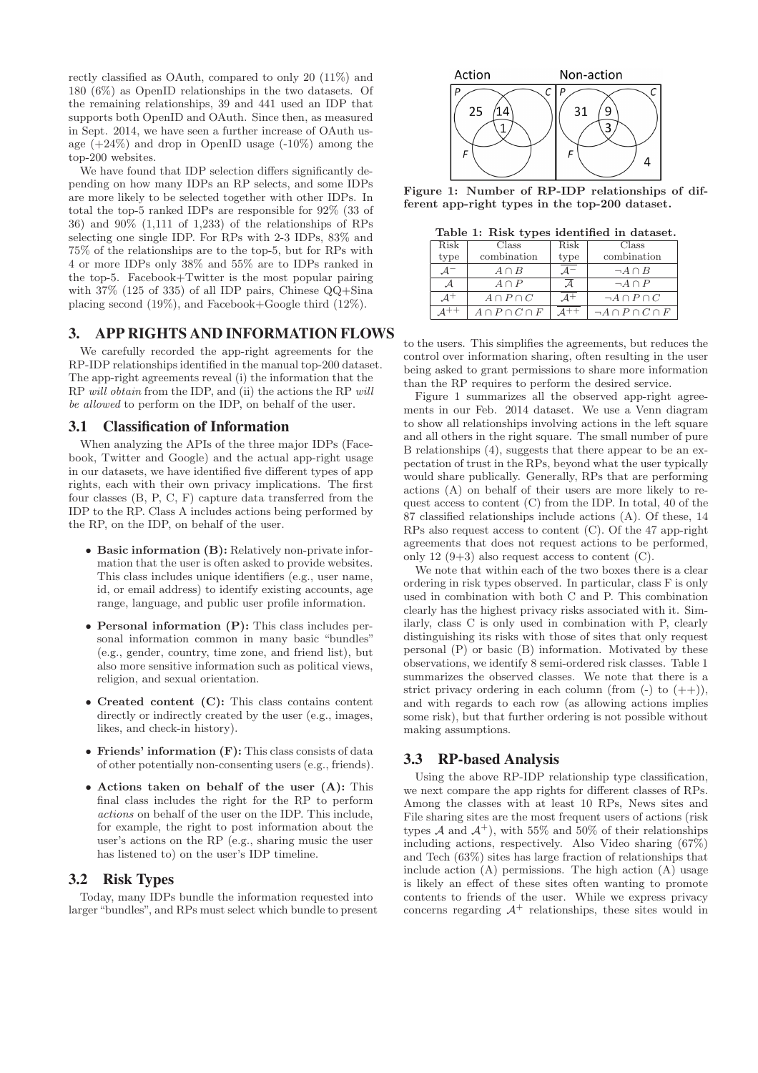rectly classified as OAuth, compared to only 20 (11%) and 180 (6%) as OpenID relationships in the two datasets. Of the remaining relationships, 39 and 441 used an IDP that supports both OpenID and OAuth. Since then, as measured in Sept. 2014, we have seen a further increase of OAuth usage  $(+24%)$  and drop in OpenID usage  $(-10%)$  among the top-200 websites.

We have found that IDP selection differs significantly depending on how many IDPs an RP selects, and some IDPs are more likely to be selected together with other IDPs. In total the top-5 ranked IDPs are responsible for 92% (33 of 36) and 90% (1,111 of 1,233) of the relationships of RPs selecting one single IDP. For RPs with 2-3 IDPs, 83% and 75% of the relationships are to the top-5, but for RPs with 4 or more IDPs only 38% and 55% are to IDPs ranked in the top-5. Facebook+Twitter is the most popular pairing with 37% (125 of 335) of all IDP pairs, Chinese QQ+Sina placing second (19%), and Facebook+Google third (12%).

## **3. APP RIGHTS AND INFORMATION FLOWS**

We carefully recorded the app-right agreements for the RP-IDP relationships identified in the manual top-200 dataset. The app-right agreements reveal (i) the information that the RP will obtain from the IDP, and (ii) the actions the RP will be allowed to perform on the IDP, on behalf of the user.

#### **3.1 Classification of Information**

When analyzing the APIs of the three major IDPs (Facebook, Twitter and Google) and the actual app-right usage in our datasets, we have identified five different types of app rights, each with their own privacy implications. The first four classes (B, P, C, F) capture data transferred from the IDP to the RP. Class A includes actions being performed by the RP, on the IDP, on behalf of the user.

- Basic information (B): Relatively non-private information that the user is often asked to provide websites. This class includes unique identifiers (e.g., user name, id, or email address) to identify existing accounts, age range, language, and public user profile information.
- Personal information (P): This class includes personal information common in many basic "bundles" (e.g., gender, country, time zone, and friend list), but also more sensitive information such as political views, religion, and sexual orientation.
- Created content (C): This class contains content directly or indirectly created by the user (e.g., images, likes, and check-in history).
- Friends' information (F): This class consists of data of other potentially non-consenting users (e.g., friends).
- Actions taken on behalf of the user (A): This final class includes the right for the RP to perform actions on behalf of the user on the IDP. This include, for example, the right to post information about the user's actions on the RP (e.g., sharing music the user has listened to) on the user's IDP timeline.

#### **3.2 Risk Types**

Today, many IDPs bundle the information requested into larger"bundles", and RPs must select which bundle to present



Figure 1: Number of RP-IDP relationships of different app-right types in the top-200 dataset.

|  |  |  |  | Table 1: Risk types identified in dataset. |  |  |
|--|--|--|--|--------------------------------------------|--|--|
|--|--|--|--|--------------------------------------------|--|--|

|          | $\sim$                   |         |                               |
|----------|--------------------------|---------|-------------------------------|
| Risk     | Class                    | Risk    | Class                         |
| type     | combination              | type    | combination                   |
|          | $A \cap B$               |         | $\neg A \cap B$               |
| А        | $A \cap P$               |         | $\neg A \cap P$               |
| $4+$     | $A \cap P \cap C$        | $4+$    | $\neg A \cap P \cap C$        |
| $4^{++}$ | $A \cap P \cap C \cap F$ | $1 + +$ | $\neg A \cap P \cap C \cap F$ |

to the users. This simplifies the agreements, but reduces the control over information sharing, often resulting in the user being asked to grant permissions to share more information than the RP requires to perform the desired service.

Figure 1 summarizes all the observed app-right agreements in our Feb. 2014 dataset. We use a Venn diagram to show all relationships involving actions in the left square and all others in the right square. The small number of pure B relationships (4), suggests that there appear to be an expectation of trust in the RPs, beyond what the user typically would share publically. Generally, RPs that are performing actions (A) on behalf of their users are more likely to request access to content (C) from the IDP. In total, 40 of the 87 classified relationships include actions (A). Of these, 14 RPs also request access to content (C). Of the 47 app-right agreements that does not request actions to be performed, only 12  $(9+3)$  also request access to content (C).

We note that within each of the two boxes there is a clear ordering in risk types observed. In particular, class F is only used in combination with both C and P. This combination clearly has the highest privacy risks associated with it. Similarly, class C is only used in combination with P, clearly distinguishing its risks with those of sites that only request personal (P) or basic (B) information. Motivated by these observations, we identify 8 semi-ordered risk classes. Table 1 summarizes the observed classes. We note that there is a strict privacy ordering in each column (from  $(-)$  to  $(+))$ ), and with regards to each row (as allowing actions implies some risk), but that further ordering is not possible without making assumptions.

#### **3.3 RP-based Analysis**

Using the above RP-IDP relationship type classification, we next compare the app rights for different classes of RPs. Among the classes with at least 10 RPs, News sites and File sharing sites are the most frequent users of actions (risk types  $A$  and  $A^+$ ), with 55% and 50% of their relationships including actions, respectively. Also Video sharing (67%) and Tech (63%) sites has large fraction of relationships that include action (A) permissions. The high action (A) usage is likely an effect of these sites often wanting to promote contents to friends of the user. While we express privacy concerns regarding  $A^+$  relationships, these sites would in